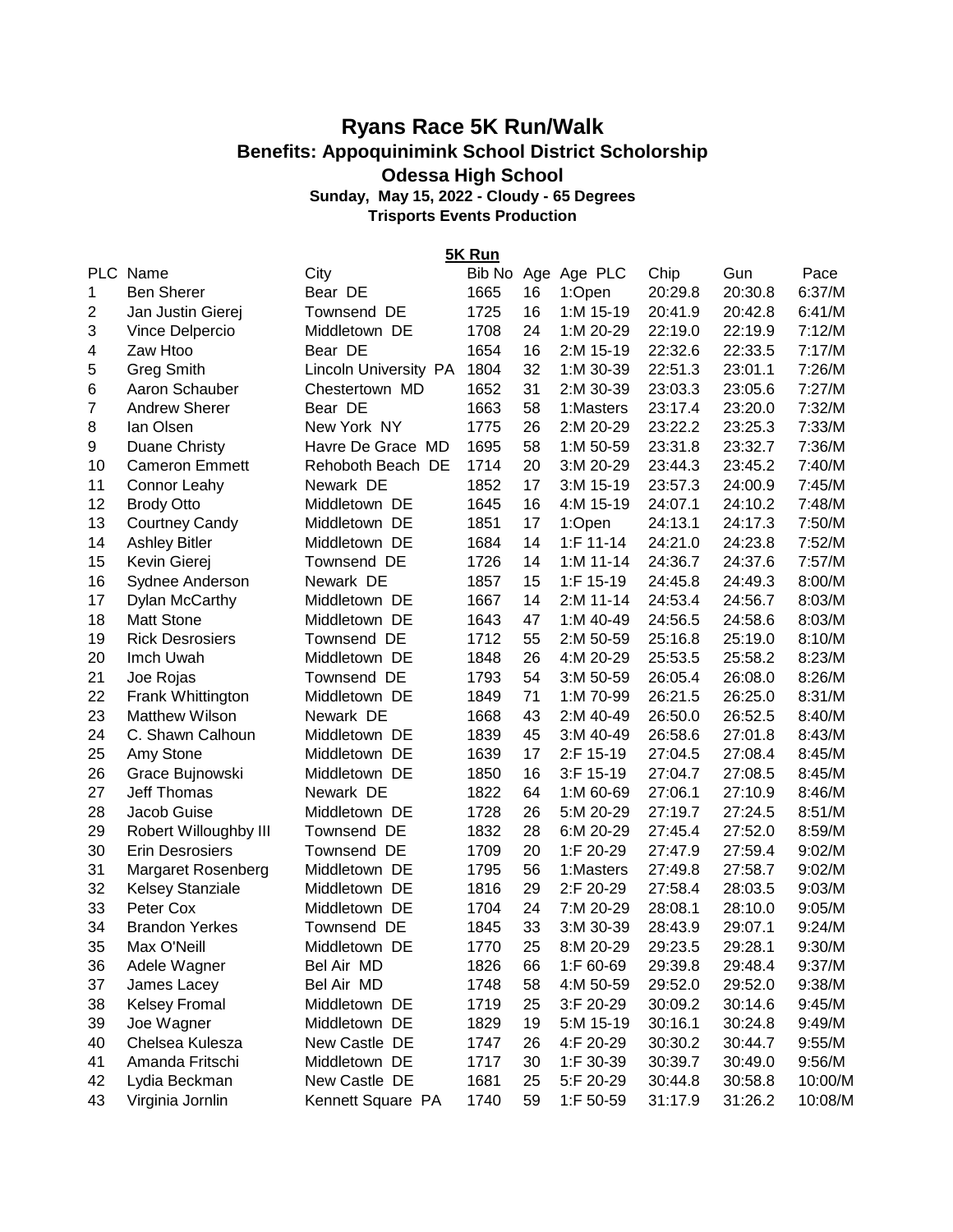## **Ryans Race 5K Run/Walk Benefits: Appoquinimink School District Scholorship Odessa High School**

**Sunday, May 15, 2022 - Cloudy - 65 Degrees**

**Trisports Events Production**

PLC Name City City Bib No Age Age PLC Chip Gun Pace Ben Sherer Bear DE 1665 16 1:Open 20:29.8 20:30.8 6:37/M Jan Justin Gierej Townsend DE 1725 16 1:M 15-19 20:41.9 20:42.8 6:41/M Vince Delpercio Middletown DE 1708 24 1:M 20-29 22:19.0 22:19.9 7:12/M Zaw Htoo Bear DE 1654 16 2:M 15-19 22:32.6 22:33.5 7:17/M Greg Smith Lincoln University PA 1804 32 1:M 30-39 22:51.3 23:01.1 7:26/M Aaron Schauber Chestertown MD 1652 31 2:M 30-39 23:03.3 23:05.6 7:27/M Andrew Sherer Bear DE 1663 58 1:Masters 23:17.4 23:20.0 7:32/M Ian Olsen New York NY 1775 26 2:M 20-29 23:22.2 23:25.3 7:33/M Duane Christy Havre De Grace MD 1695 58 1:M 50-59 23:31.8 23:32.7 7:36/M Cameron Emmett Rehoboth Beach DE 1714 20 3:M 20-29 23:44.3 23:45.2 7:40/M Connor Leahy Newark DE 1852 17 3:M 15-19 23:57.3 24:00.9 7:45/M **5K Run**

| 11 | Connor Leany            | Newark DE         | 1852 | 17 | 3:M 15-19    | 23.57.3 | 24:00.9 | 1.45/N  |
|----|-------------------------|-------------------|------|----|--------------|---------|---------|---------|
| 12 | <b>Brody Otto</b>       | Middletown DE     | 1645 | 16 | 4:M 15-19    | 24:07.1 | 24:10.2 | 7:48/M  |
| 13 | <b>Courtney Candy</b>   | Middletown DE     | 1851 | 17 | 1:Open       | 24:13.1 | 24:17.3 | 7:50/M  |
| 14 | <b>Ashley Bitler</b>    | Middletown DE     | 1684 | 14 | $1:$ F 11-14 | 24:21.0 | 24:23.8 | 7:52/M  |
| 15 | Kevin Gierej            | Townsend DE       | 1726 | 14 | $1: M 11-14$ | 24:36.7 | 24:37.6 | 7:57/M  |
| 16 | Sydnee Anderson         | Newark DE         | 1857 | 15 | 1:F 15-19    | 24:45.8 | 24:49.3 | 8:00/M  |
| 17 | Dylan McCarthy          | Middletown DE     | 1667 | 14 | 2:M 11-14    | 24:53.4 | 24:56.7 | 8:03/M  |
| 18 | <b>Matt Stone</b>       | Middletown DE     | 1643 | 47 | 1:M 40-49    | 24:56.5 | 24:58.6 | 8:03/M  |
| 19 | <b>Rick Desrosiers</b>  | Townsend DE       | 1712 | 55 | 2:M 50-59    | 25:16.8 | 25:19.0 | 8:10/M  |
| 20 | Imch Uwah               | Middletown DE     | 1848 | 26 | 4:M 20-29    | 25:53.5 | 25:58.2 | 8:23/M  |
| 21 | Joe Rojas               | Townsend DE       | 1793 | 54 | 3:M 50-59    | 26:05.4 | 26:08.0 | 8:26/M  |
| 22 | Frank Whittington       | Middletown DE     | 1849 | 71 | 1:M 70-99    | 26:21.5 | 26:25.0 | 8:31/M  |
| 23 | <b>Matthew Wilson</b>   | Newark DE         | 1668 | 43 | 2:M 40-49    | 26:50.0 | 26:52.5 | 8:40/M  |
| 24 | C. Shawn Calhoun        | Middletown DE     | 1839 | 45 | 3:M 40-49    | 26:58.6 | 27:01.8 | 8:43/M  |
| 25 | Amy Stone               | Middletown DE     | 1639 | 17 | 2:F 15-19    | 27:04.5 | 27:08.4 | 8:45/M  |
| 26 | Grace Bujnowski         | Middletown DE     | 1850 | 16 | $3:$ F 15-19 | 27:04.7 | 27:08.5 | 8:45/M  |
| 27 | <b>Jeff Thomas</b>      | Newark DE         | 1822 | 64 | 1:M 60-69    | 27:06.1 | 27:10.9 | 8:46/M  |
| 28 | Jacob Guise             | Middletown DE     | 1728 | 26 | 5:M 20-29    | 27:19.7 | 27:24.5 | 8:51/M  |
| 29 | Robert Willoughby III   | Townsend DE       | 1832 | 28 | 6:M 20-29    | 27:45.4 | 27:52.0 | 8:59/M  |
| 30 | <b>Erin Desrosiers</b>  | Townsend DE       | 1709 | 20 | 1:F 20-29    | 27:47.9 | 27:59.4 | 9:02/M  |
| 31 | Margaret Rosenberg      | Middletown DE     | 1795 | 56 | 1:Masters    | 27:49.8 | 27:58.7 | 9:02/M  |
| 32 | <b>Kelsey Stanziale</b> | Middletown DE     | 1816 | 29 | $2:$ F 20-29 | 27:58.4 | 28:03.5 | 9:03/M  |
| 33 | Peter Cox               | Middletown DE     | 1704 | 24 | 7:M 20-29    | 28:08.1 | 28:10.0 | 9:05/M  |
| 34 | <b>Brandon Yerkes</b>   | Townsend DE       | 1845 | 33 | 3:M 30-39    | 28:43.9 | 29:07.1 | 9:24/M  |
| 35 | Max O'Neill             | Middletown DE     | 1770 | 25 | 8:M 20-29    | 29:23.5 | 29:28.1 | 9:30/M  |
| 36 | Adele Wagner            | Bel Air MD        | 1826 | 66 | 1:F 60-69    | 29:39.8 | 29:48.4 | 9:37/M  |
| 37 | James Lacey             | Bel Air MD        | 1748 | 58 | 4:M 50-59    | 29:52.0 | 29:52.0 | 9:38/M  |
| 38 | <b>Kelsey Fromal</b>    | Middletown DE     | 1719 | 25 | 3:F 20-29    | 30:09.2 | 30:14.6 | 9:45/M  |
| 39 | Joe Wagner              | Middletown DE     | 1829 | 19 | 5:M 15-19    | 30:16.1 | 30:24.8 | 9:49/M  |
| 40 | Chelsea Kulesza         | New Castle DE     | 1747 | 26 | 4:F 20-29    | 30:30.2 | 30:44.7 | 9:55/M  |
| 41 | Amanda Fritschi         | Middletown DE     | 1717 | 30 | 1:F 30-39    | 30:39.7 | 30:49.0 | 9:56/M  |
| 42 | Lydia Beckman           | New Castle DE     | 1681 | 25 | 5:F 20-29    | 30:44.8 | 30:58.8 | 10:00/M |
| 43 | Virginia Jornlin        | Kennett Square PA | 1740 | 59 | 1:F 50-59    | 31:17.9 | 31:26.2 | 10:08/M |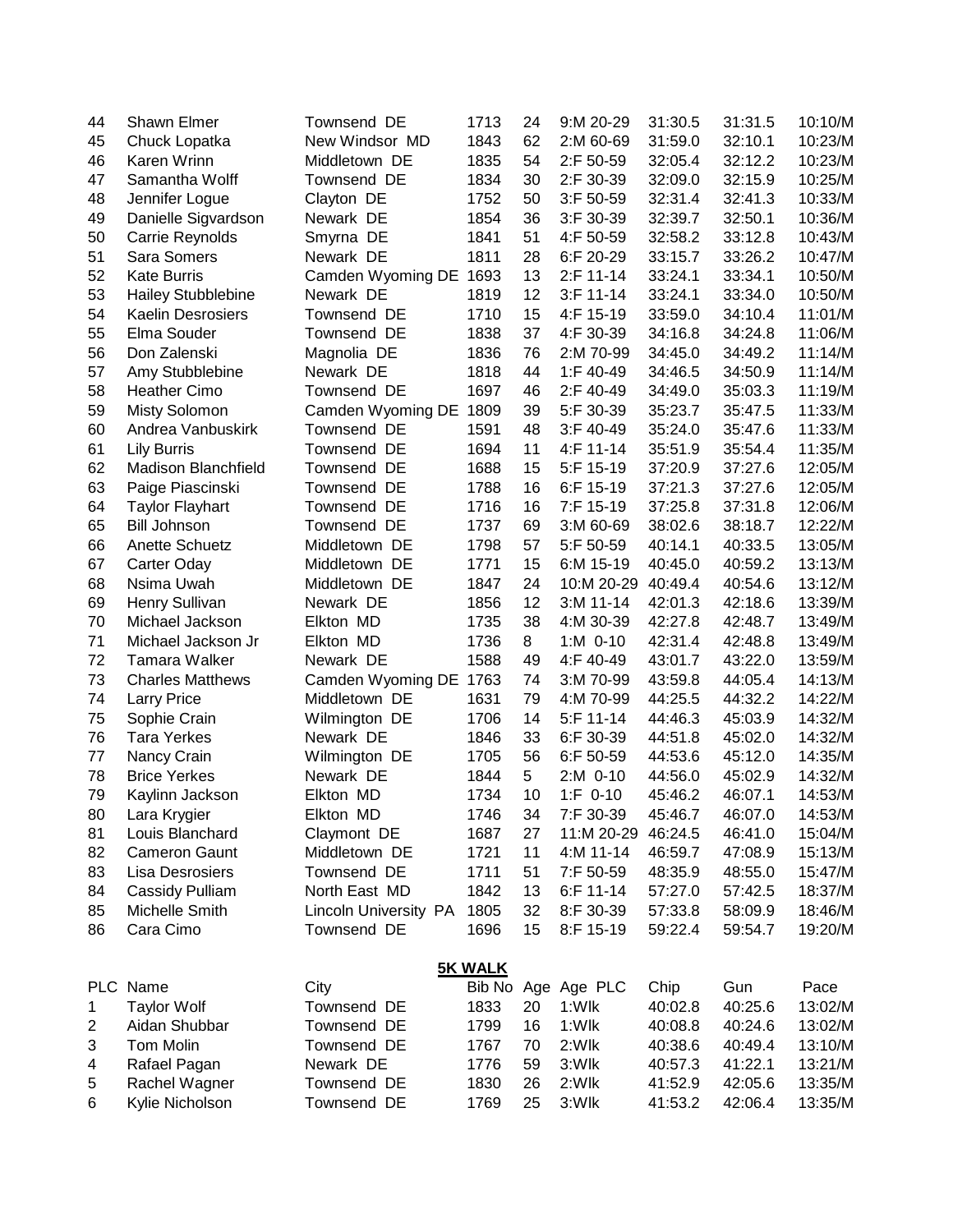| 44           | Shawn Elmer                | Townsend DE                  | 1713           | 24 | 9:M 20-29    | 31:30.5 | 31:31.5 | 10:10/M |
|--------------|----------------------------|------------------------------|----------------|----|--------------|---------|---------|---------|
| 45           | Chuck Lopatka              | New Windsor MD               | 1843           | 62 | 2:M 60-69    | 31:59.0 | 32:10.1 | 10:23/M |
| 46           | Karen Wrinn                | Middletown DE                | 1835           | 54 | 2:F 50-59    | 32:05.4 | 32:12.2 | 10:23/M |
| 47           | Samantha Wolff             | Townsend DE                  | 1834           | 30 | 2:F 30-39    | 32:09.0 | 32:15.9 | 10:25/M |
| 48           | Jennifer Logue             | Clayton DE                   | 1752           | 50 | 3:F 50-59    | 32:31.4 | 32:41.3 | 10:33/M |
| 49           | Danielle Sigvardson        | Newark DE                    | 1854           | 36 | 3:F 30-39    | 32:39.7 | 32:50.1 | 10:36/M |
| 50           | Carrie Reynolds            | Smyrna DE                    | 1841           | 51 | 4:F 50-59    | 32:58.2 | 33:12.8 | 10:43/M |
| 51           | Sara Somers                | Newark DE                    | 1811           | 28 | 6:F 20-29    | 33:15.7 | 33:26.2 | 10:47/M |
| 52           | <b>Kate Burris</b>         | Camden Wyoming DE 1693       |                | 13 | 2:F 11-14    | 33:24.1 | 33:34.1 | 10:50/M |
| 53           | <b>Hailey Stubblebine</b>  | Newark DE                    | 1819           | 12 | $3:$ F 11-14 | 33:24.1 | 33:34.0 | 10:50/M |
| 54           | <b>Kaelin Desrosiers</b>   | Townsend DE                  | 1710           | 15 | 4:F 15-19    | 33:59.0 | 34:10.4 | 11:01/M |
| 55           | Elma Souder                | Townsend DE                  | 1838           | 37 | 4:F 30-39    | 34:16.8 | 34:24.8 | 11:06/M |
| 56           | Don Zalenski               | Magnolia DE                  | 1836           | 76 | 2:M 70-99    | 34:45.0 | 34:49.2 | 11:14/M |
| 57           | Amy Stubblebine            | Newark DE                    | 1818           | 44 | 1:F 40-49    | 34:46.5 | 34:50.9 | 11:14/M |
| 58           | <b>Heather Cimo</b>        | Townsend DE                  | 1697           | 46 | 2:F 40-49    | 34:49.0 | 35:03.3 | 11:19/M |
| 59           | <b>Misty Solomon</b>       | Camden Wyoming DE 1809       |                | 39 | 5:F 30-39    | 35:23.7 | 35:47.5 | 11:33/M |
| 60           | Andrea Vanbuskirk          | Townsend DE                  | 1591           | 48 | 3:F 40-49    | 35:24.0 | 35:47.6 | 11:33/M |
| 61           | <b>Lily Burris</b>         | Townsend DE                  | 1694           | 11 | 4:F 11-14    | 35:51.9 | 35:54.4 | 11:35/M |
| 62           | <b>Madison Blanchfield</b> | Townsend DE                  | 1688           | 15 | 5:F 15-19    | 37:20.9 | 37:27.6 | 12:05/M |
| 63           | Paige Piascinski           | Townsend DE                  | 1788           | 16 | 6:F 15-19    | 37:21.3 | 37:27.6 | 12:05/M |
| 64           | <b>Taylor Flayhart</b>     | Townsend DE                  | 1716           | 16 | 7:F 15-19    | 37:25.8 | 37:31.8 | 12:06/M |
| 65           | <b>Bill Johnson</b>        | Townsend DE                  | 1737           | 69 | $3: M 60-69$ | 38:02.6 | 38:18.7 | 12:22/M |
| 66           | <b>Anette Schuetz</b>      | Middletown DE                | 1798           | 57 | 5:F 50-59    | 40:14.1 | 40:33.5 | 13:05/M |
| 67           | Carter Oday                | Middletown DE                | 1771           | 15 | 6:M 15-19    | 40:45.0 | 40:59.2 | 13:13/M |
| 68           | Nsima Uwah                 | Middletown DE                | 1847           | 24 | 10:M 20-29   | 40:49.4 | 40:54.6 | 13:12/M |
| 69           | Henry Sullivan             | Newark DE                    | 1856           | 12 | $3: M 11-14$ | 42:01.3 | 42:18.6 | 13:39/M |
| 70           | Michael Jackson            | Elkton MD                    | 1735           | 38 | 4:M 30-39    | 42:27.8 | 42:48.7 | 13:49/M |
| 71           | Michael Jackson Jr         | Elkton MD                    | 1736           | 8  | $1: M$ 0-10  | 42:31.4 | 42:48.8 | 13:49/M |
| 72           | <b>Tamara Walker</b>       | Newark DE                    | 1588           | 49 | 4:F 40-49    | 43:01.7 | 43:22.0 | 13:59/M |
| 73           | <b>Charles Matthews</b>    | Camden Wyoming DE            | 1763           | 74 | 3:M 70-99    | 43:59.8 | 44:05.4 | 14:13/M |
| 74           | <b>Larry Price</b>         | Middletown DE                | 1631           | 79 | 4:M 70-99    | 44:25.5 | 44:32.2 | 14:22/M |
| 75           | Sophie Crain               | Wilmington DE                | 1706           | 14 | 5:F 11-14    | 44:46.3 | 45:03.9 | 14:32/M |
| 76           | <b>Tara Yerkes</b>         | Newark DE                    | 1846           | 33 | 6:F 30-39    | 44:51.8 | 45:02.0 | 14:32/M |
| 77           | Nancy Crain                | Wilmington DE                | 1705           | 56 | 6:F 50-59    | 44:53.6 | 45:12.0 | 14:35/M |
| 78           | <b>Brice Yerkes</b>        | Newark DE                    | 1844           | 5  | 2:M 0-10     | 44:56.0 | 45:02.9 | 14:32/M |
| 79           | Kaylinn Jackson            | Elkton MD                    | 1734           | 10 | $1:F$ 0-10   | 45:46.2 | 46:07.1 | 14:53/M |
| 80           | Lara Krygier               | Elkton MD                    | 1746           | 34 | 7:F 30-39    | 45:46.7 | 46:07.0 | 14:53/M |
| 81           | Louis Blanchard            | Claymont DE                  | 1687           | 27 | 11:M 20-29   | 46:24.5 | 46:41.0 | 15:04/M |
| 82           | Cameron Gaunt              | Middletown DE                | 1721           | 11 | 4:M 11-14    | 46:59.7 | 47:08.9 | 15:13/M |
| 83           | Lisa Desrosiers            | Townsend DE                  | 1711           | 51 | 7:F 50-59    | 48:35.9 | 48:55.0 | 15:47/M |
| 84           | Cassidy Pulliam            | North East MD                | 1842           | 13 | 6:F 11-14    | 57:27.0 | 57:42.5 | 18:37/M |
| 85           | Michelle Smith             | <b>Lincoln University PA</b> | 1805           | 32 | 8:F 30-39    | 57:33.8 | 58:09.9 | 18:46/M |
| 86           | Cara Cimo                  | Townsend DE                  | 1696           | 15 | 8:F 15-19    | 59:22.4 | 59:54.7 | 19:20/M |
|              |                            |                              | <b>5K WALK</b> |    |              |         |         |         |
|              | PLC Name                   | City                         | Bib No         |    | Age Age PLC  | Chip    | Gun     | Pace    |
| $\mathbf{1}$ | <b>Taylor Wolf</b>         | Townsend DE                  | 1833           | 20 | 1:Wlk        | 40:02.8 | 40:25.6 | 13:02/M |
| 2            | Aidan Shubbar              | Townsend DE                  | 1799           | 16 | 1:Wlk        | 40:08.8 | 40:24.6 | 13:02/M |
| 3            | Tom Molin                  | Townsend DE                  | 1767           | 70 | 2:Wlk        | 40:38.6 | 40:49.4 | 13:10/M |
| 4            | Rafael Pagan               | Newark DE                    | 1776           | 59 | 3:Wlk        | 40:57.3 | 41:22.1 | 13:21/M |
| 5            | Rachel Wagner              | Townsend DE                  | 1830           | 26 | 2:Wlk        | 41:52.9 | 42:05.6 | 13:35/M |
| 6            | Kylie Nicholson            | Townsend DE                  | 1769           | 25 | 3:Wlk        | 41:53.2 | 42:06.4 | 13:35/M |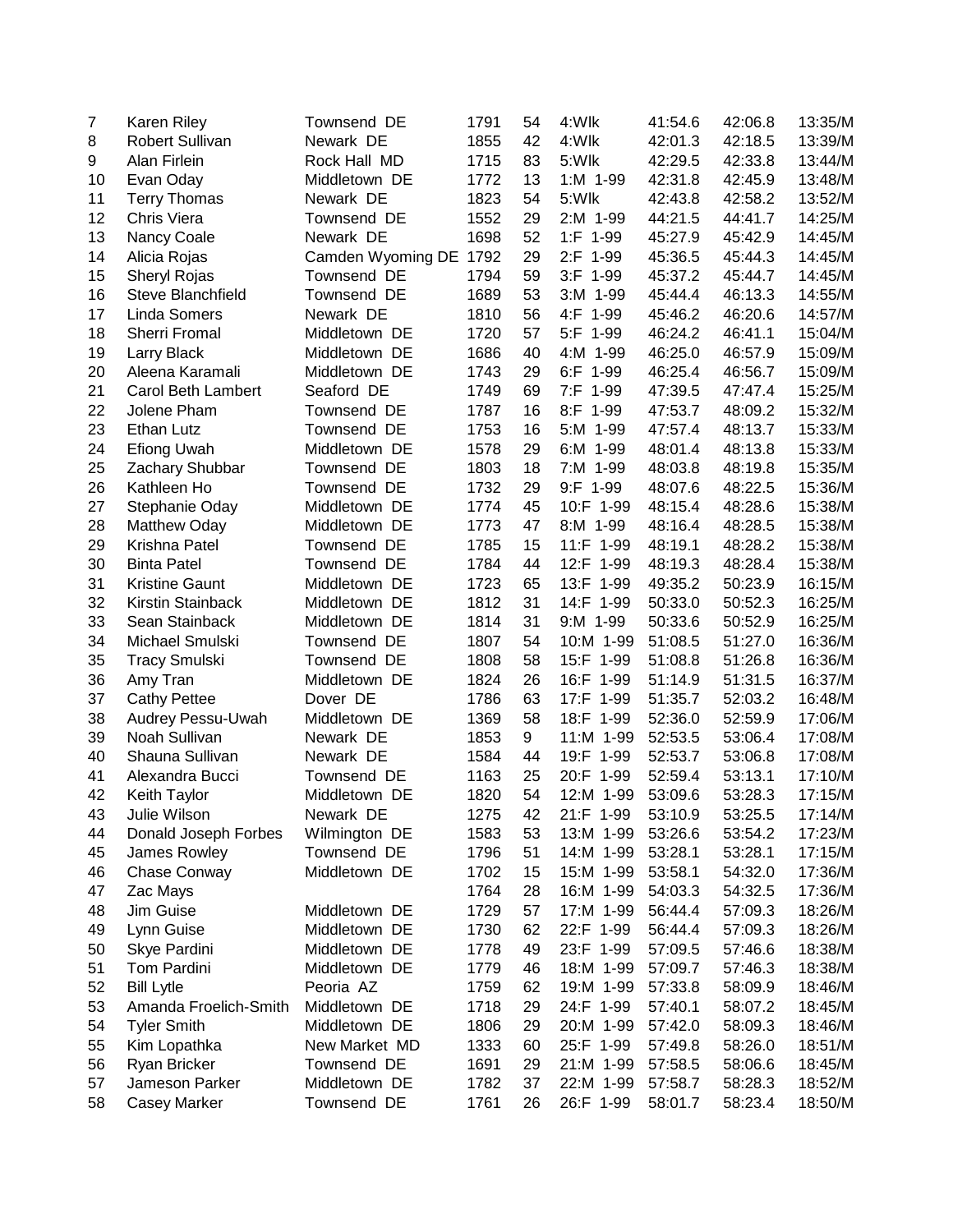| $\overline{7}$ | <b>Karen Riley</b>     | Townsend DE            | 1791 | 54 | 4:Wlk       | 41:54.6 | 42:06.8 | 13:35/M |
|----------------|------------------------|------------------------|------|----|-------------|---------|---------|---------|
| 8              | <b>Robert Sullivan</b> | Newark DE              | 1855 | 42 | 4:Wlk       | 42:01.3 | 42:18.5 | 13:39/M |
| 9              | Alan Firlein           | Rock Hall MD           | 1715 | 83 | 5:Wlk       | 42:29.5 | 42:33.8 | 13:44/M |
| 10             | Evan Oday              | Middletown DE          | 1772 | 13 | 1:M 1-99    | 42:31.8 | 42:45.9 | 13:48/M |
| 11             | <b>Terry Thomas</b>    | Newark DE              | 1823 | 54 | 5:Wlk       | 42:43.8 | 42:58.2 | 13:52/M |
| 12             | Chris Viera            | Townsend DE            | 1552 | 29 | 2:M 1-99    | 44:21.5 | 44:41.7 | 14:25/M |
| 13             | Nancy Coale            | Newark DE              | 1698 | 52 | 1:F 1-99    | 45:27.9 | 45:42.9 | 14:45/M |
| 14             | Alicia Rojas           | Camden Wyoming DE 1792 |      | 29 | 2:F 1-99    | 45:36.5 | 45:44.3 | 14:45/M |
| 15             | Sheryl Rojas           | Townsend DE            | 1794 | 59 | 3:F 1-99    | 45:37.2 | 45:44.7 | 14:45/M |
| 16             | Steve Blanchfield      | Townsend DE            | 1689 | 53 | $3: M$ 1-99 | 45:44.4 | 46:13.3 | 14:55/M |
| 17             | <b>Linda Somers</b>    | Newark DE              | 1810 | 56 | 4:F 1-99    | 45:46.2 | 46:20.6 | 14:57/M |
| 18             | Sherri Fromal          | Middletown DE          | 1720 | 57 | $5:F$ 1-99  | 46:24.2 | 46:41.1 | 15:04/M |
| 19             | Larry Black            | Middletown DE          | 1686 | 40 | 4:M 1-99    | 46:25.0 | 46:57.9 | 15:09/M |
| 20             | Aleena Karamali        | Middletown DE          | 1743 | 29 | 6:F 1-99    | 46:25.4 | 46:56.7 | 15:09/M |
| 21             | Carol Beth Lambert     | Seaford DE             | 1749 | 69 | 7:F 1-99    | 47:39.5 | 47:47.4 | 15:25/M |
| 22             | Jolene Pham            | Townsend DE            | 1787 | 16 | 8:F 1-99    | 47:53.7 | 48:09.2 | 15:32/M |
| 23             | Ethan Lutz             | Townsend DE            | 1753 | 16 | 5:M 1-99    | 47:57.4 | 48:13.7 | 15:33/M |
| 24             | <b>Efiong Uwah</b>     | Middletown DE          | 1578 | 29 | 6:M 1-99    | 48:01.4 | 48:13.8 | 15:33/M |
| 25             | Zachary Shubbar        | Townsend DE            | 1803 | 18 | 7:M 1-99    | 48:03.8 | 48:19.8 | 15:35/M |
| 26             | Kathleen Ho            | Townsend DE            | 1732 | 29 | 9:F 1-99    | 48:07.6 | 48:22.5 | 15:36/M |
| 27             | Stephanie Oday         | Middletown DE          | 1774 | 45 | 10:F 1-99   | 48:15.4 | 48:28.6 | 15:38/M |
| 28             | <b>Matthew Oday</b>    | Middletown DE          | 1773 | 47 | 8:M 1-99    | 48:16.4 | 48:28.5 | 15:38/M |
| 29             | Krishna Patel          | Townsend DE            | 1785 | 15 | 11:F 1-99   | 48:19.1 | 48:28.2 | 15:38/M |
| 30             | <b>Binta Patel</b>     | Townsend DE            | 1784 | 44 | 12:F 1-99   | 48:19.3 | 48:28.4 | 15:38/M |
| 31             | <b>Kristine Gaunt</b>  | Middletown DE          | 1723 | 65 | 13:F 1-99   | 49:35.2 | 50:23.9 | 16:15/M |
| 32             | Kirstin Stainback      | Middletown DE          | 1812 | 31 | 14:F 1-99   | 50:33.0 | 50:52.3 | 16:25/M |
| 33             | Sean Stainback         | Middletown DE          | 1814 | 31 | 9:M 1-99    | 50:33.6 | 50:52.9 | 16:25/M |
| 34             | Michael Smulski        | Townsend DE            | 1807 | 54 | 10:M 1-99   | 51:08.5 | 51:27.0 | 16:36/M |
| 35             | <b>Tracy Smulski</b>   | Townsend DE            | 1808 | 58 | 15:F 1-99   | 51:08.8 | 51:26.8 | 16:36/M |
| 36             | Amy Tran               | Middletown DE          | 1824 | 26 | 16:F 1-99   | 51:14.9 | 51:31.5 | 16:37/M |
| 37             | <b>Cathy Pettee</b>    | Dover DE               | 1786 | 63 | 17:F 1-99   | 51:35.7 | 52:03.2 | 16:48/M |
| 38             | Audrey Pessu-Uwah      | Middletown DE          | 1369 | 58 | 18:F 1-99   | 52:36.0 | 52:59.9 | 17:06/M |
| 39             | Noah Sullivan          | Newark DE              | 1853 | 9  | 11:M 1-99   | 52:53.5 | 53:06.4 | 17:08/M |
| 40             | Shauna Sullivan        | Newark DE              | 1584 | 44 | 19:F 1-99   | 52:53.7 | 53:06.8 | 17:08/M |
| 41             | Alexandra Bucci        | Townsend DE            | 1163 | 25 | 20:F 1-99   | 52:59.4 | 53:13.1 | 17:10/M |
| 42             | Keith Taylor           | Middletown DE          | 1820 | 54 | 12:M 1-99   | 53:09.6 | 53:28.3 | 17:15/M |
| 43             | Julie Wilson           | Newark DE              | 1275 | 42 | 21:F 1-99   | 53:10.9 | 53:25.5 | 17:14/M |
| 44             | Donald Joseph Forbes   | Wilmington DE          | 1583 | 53 | 13:M 1-99   | 53:26.6 | 53:54.2 | 17:23/M |
| 45             | James Rowley           | Townsend DE            | 1796 | 51 | 14:M 1-99   | 53:28.1 | 53:28.1 | 17:15/M |
| 46             | Chase Conway           | Middletown DE          | 1702 | 15 | 15:M 1-99   | 53:58.1 | 54:32.0 | 17:36/M |
| 47             | Zac Mays               |                        | 1764 | 28 | 16:M 1-99   | 54:03.3 | 54:32.5 | 17:36/M |
| 48             | Jim Guise              | Middletown DE          | 1729 | 57 | 17:M 1-99   | 56:44.4 | 57:09.3 | 18:26/M |
|                |                        | Middletown DE          |      | 62 |             |         |         |         |
| 49             | Lynn Guise             |                        | 1730 | 49 | 22:F 1-99   | 56:44.4 | 57:09.3 | 18:26/M |
| 50             | Skye Pardini           | Middletown DE          | 1778 |    | 23:F 1-99   | 57:09.5 | 57:46.6 | 18:38/M |
| 51             | Tom Pardini            | Middletown DE          | 1779 | 46 | 18:M 1-99   | 57:09.7 | 57:46.3 | 18:38/M |
| 52             | <b>Bill Lytle</b>      | Peoria AZ              | 1759 | 62 | 19:M 1-99   | 57:33.8 | 58:09.9 | 18:46/M |
| 53             | Amanda Froelich-Smith  | Middletown DE          | 1718 | 29 | 24:F 1-99   | 57:40.1 | 58:07.2 | 18:45/M |
| 54             | <b>Tyler Smith</b>     | Middletown DE          | 1806 | 29 | 20:M 1-99   | 57:42.0 | 58:09.3 | 18:46/M |
| 55             | Kim Lopathka           | New Market MD          | 1333 | 60 | 25:F 1-99   | 57:49.8 | 58:26.0 | 18:51/M |
| 56             | Ryan Bricker           | Townsend DE            | 1691 | 29 | 21:M 1-99   | 57:58.5 | 58:06.6 | 18:45/M |
| 57             | Jameson Parker         | Middletown DE          | 1782 | 37 | 22:M 1-99   | 57:58.7 | 58:28.3 | 18:52/M |
| 58             | <b>Casey Marker</b>    | Townsend DE            | 1761 | 26 | 26:F 1-99   | 58:01.7 | 58:23.4 | 18:50/M |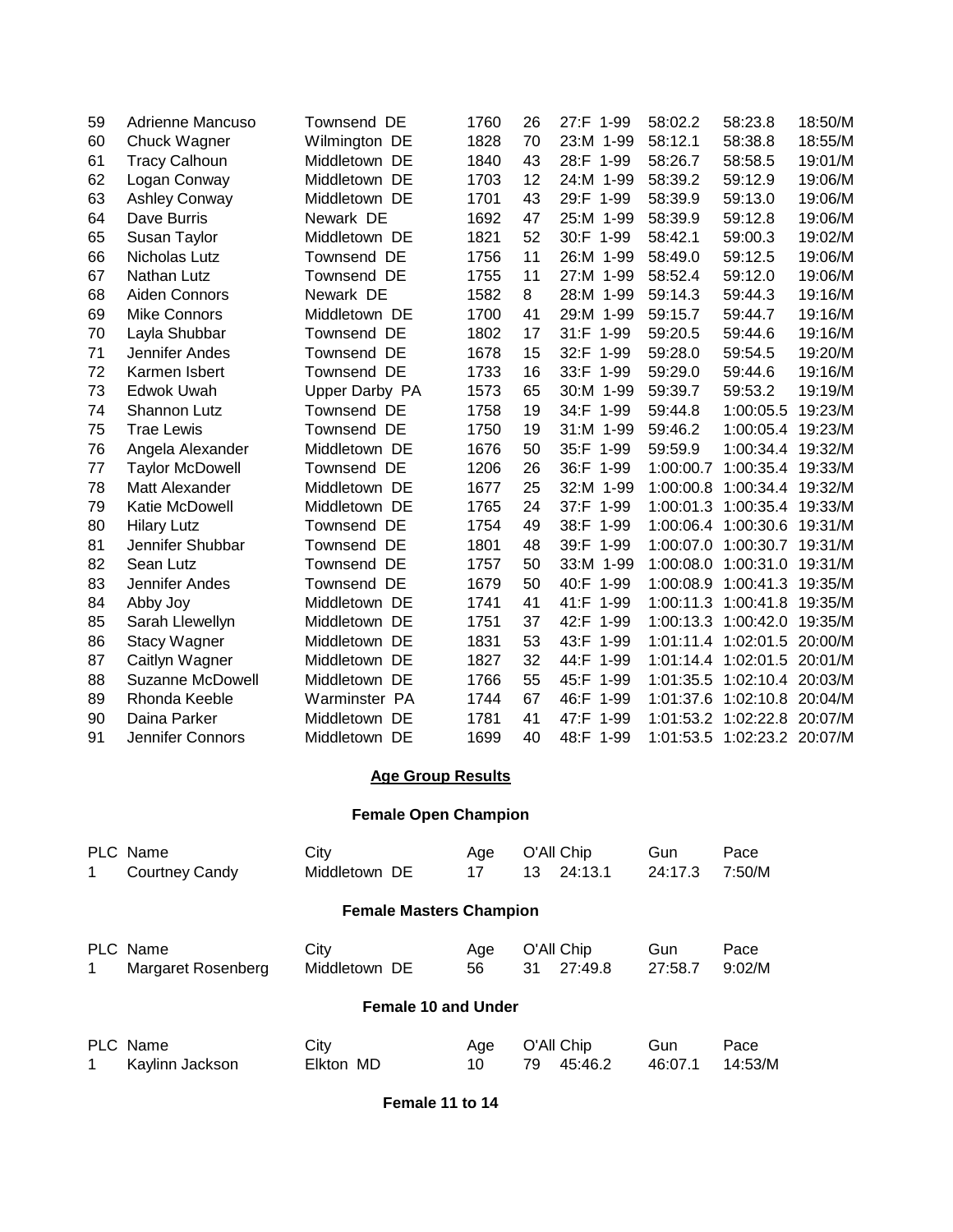| 59 | Adrienne Mancuso        | Townsend DE    | 1760 | 26 | 27:F 1-99 | 58:02.2   | 58:23.8                     | 18:50/M |
|----|-------------------------|----------------|------|----|-----------|-----------|-----------------------------|---------|
| 60 | Chuck Wagner            | Wilmington DE  | 1828 | 70 | 23:M 1-99 | 58:12.1   | 58:38.8                     | 18:55/M |
| 61 | <b>Tracy Calhoun</b>    | Middletown DE  | 1840 | 43 | 28:F 1-99 | 58:26.7   | 58:58.5                     | 19:01/M |
| 62 | Logan Conway            | Middletown DE  | 1703 | 12 | 24:M 1-99 | 58:39.2   | 59:12.9                     | 19:06/M |
| 63 | <b>Ashley Conway</b>    | Middletown DE  | 1701 | 43 | 29:F 1-99 | 58:39.9   | 59:13.0                     | 19:06/M |
| 64 | Dave Burris             | Newark DE      | 1692 | 47 | 25:M 1-99 | 58:39.9   | 59:12.8                     | 19:06/M |
| 65 | Susan Taylor            | Middletown DE  | 1821 | 52 | 30:F 1-99 | 58:42.1   | 59:00.3                     | 19:02/M |
| 66 | Nicholas Lutz           | Townsend DE    | 1756 | 11 | 26:M 1-99 | 58:49.0   | 59:12.5                     | 19:06/M |
| 67 | <b>Nathan Lutz</b>      | Townsend DE    | 1755 | 11 | 27:M 1-99 | 58:52.4   | 59:12.0                     | 19:06/M |
| 68 | Aiden Connors           | Newark DE      | 1582 | 8  | 28:M 1-99 | 59:14.3   | 59:44.3                     | 19:16/M |
| 69 | <b>Mike Connors</b>     | Middletown DE  | 1700 | 41 | 29:M 1-99 | 59:15.7   | 59:44.7                     | 19:16/M |
| 70 | Layla Shubbar           | Townsend DE    | 1802 | 17 | 31:F 1-99 | 59:20.5   | 59:44.6                     | 19:16/M |
| 71 | Jennifer Andes          | Townsend DE    | 1678 | 15 | 32:F 1-99 | 59:28.0   | 59:54.5                     | 19:20/M |
| 72 | Karmen Isbert           | Townsend DE    | 1733 | 16 | 33:F 1-99 | 59:29.0   | 59:44.6                     | 19:16/M |
| 73 | Edwok Uwah              | Upper Darby PA | 1573 | 65 | 30:M 1-99 | 59:39.7   | 59:53.2                     | 19:19/M |
| 74 | <b>Shannon Lutz</b>     | Townsend DE    | 1758 | 19 | 34:F 1-99 | 59:44.8   | 1:00:05.5                   | 19:23/M |
| 75 | <b>Trae Lewis</b>       | Townsend DE    | 1750 | 19 | 31:M 1-99 | 59:46.2   | 1:00:05.4                   | 19:23/M |
| 76 | Angela Alexander        | Middletown DE  | 1676 | 50 | 35:F 1-99 | 59:59.9   | 1:00:34.4 19:32/M           |         |
| 77 | <b>Taylor McDowell</b>  | Townsend DE    | 1206 | 26 | 36:F 1-99 | 1:00:00.7 | 1:00:35.4 19:33/M           |         |
| 78 | Matt Alexander          | Middletown DE  | 1677 | 25 | 32:M 1-99 | 1:00:00.8 | 1:00:34.4                   | 19:32/M |
| 79 | Katie McDowell          | Middletown DE  | 1765 | 24 | 37:F 1-99 | 1:00:01.3 | 1:00:35.4                   | 19:33/M |
| 80 | <b>Hilary Lutz</b>      | Townsend DE    | 1754 | 49 | 38:F 1-99 |           | 1:00:06.4 1:00:30.6 19:31/M |         |
| 81 | Jennifer Shubbar        | Townsend DE    | 1801 | 48 | 39:F 1-99 | 1:00:07.0 | 1:00:30.7 19:31/M           |         |
| 82 | Sean Lutz               | Townsend DE    | 1757 | 50 | 33:M 1-99 | 1:00:08.0 | 1:00:31.0                   | 19:31/M |
| 83 | Jennifer Andes          | Townsend DE    | 1679 | 50 | 40:F 1-99 | 1:00:08.9 | 1:00:41.3                   | 19:35/M |
| 84 | Abby Joy                | Middletown DE  | 1741 | 41 | 41:F 1-99 |           | 1:00:11.3 1:00:41.8 19:35/M |         |
| 85 | Sarah Llewellyn         | Middletown DE  | 1751 | 37 | 42:F 1-99 |           | 1:00:13.3 1:00:42.0         | 19:35/M |
| 86 | <b>Stacy Wagner</b>     | Middletown DE  | 1831 | 53 | 43:F 1-99 | 1:01:11.4 | 1:02:01.5 20:00/M           |         |
| 87 | Caitlyn Wagner          | Middletown DE  | 1827 | 32 | 44:F 1-99 | 1:01:14.4 | 1:02:01.5 20:01/M           |         |
| 88 | <b>Suzanne McDowell</b> | Middletown DE  | 1766 | 55 | 45:F 1-99 | 1:01:35.5 | 1:02:10.4 20:03/M           |         |
| 89 | Rhonda Keeble           | Warminster PA  | 1744 | 67 | 46:F 1-99 | 1:01:37.6 | 1:02:10.8 20:04/M           |         |
| 90 | Daina Parker            | Middletown DE  | 1781 | 41 | 47:F 1-99 | 1:01:53.2 | 1:02:22.8 20:07/M           |         |
| 91 | Jennifer Connors        | Middletown DE  | 1699 | 40 | 48:F 1-99 |           | 1:01:53.5 1:02:23.2 20:07/M |         |

## **Age Group Results**

## **Female Open Champion**

|                                | PLC Name           | City          | Age | O'All Chip    | Gun     | Pace    |  |  |  |
|--------------------------------|--------------------|---------------|-----|---------------|---------|---------|--|--|--|
| 1.                             | Courtney Candy     | Middletown DE | 17  | 24:13.1<br>13 | 24:17.3 | 7:50/M  |  |  |  |
| <b>Female Masters Champion</b> |                    |               |     |               |         |         |  |  |  |
|                                |                    |               |     |               |         |         |  |  |  |
|                                | PLC Name           | City          | Age | O'All Chip    | Gun     | Pace    |  |  |  |
| 1                              | Margaret Rosenberg | Middletown DE | 56  | 27:49.8<br>31 | 27:58.7 | 9:02/M  |  |  |  |
| <b>Female 10 and Under</b>     |                    |               |     |               |         |         |  |  |  |
|                                | PLC Name           | City          | Age | O'All Chip    | Gun     | Pace    |  |  |  |
| 1                              | Kaylinn Jackson    | Elkton MD     | 10  | 79<br>45:46.2 | 46:07.1 | 14:53/M |  |  |  |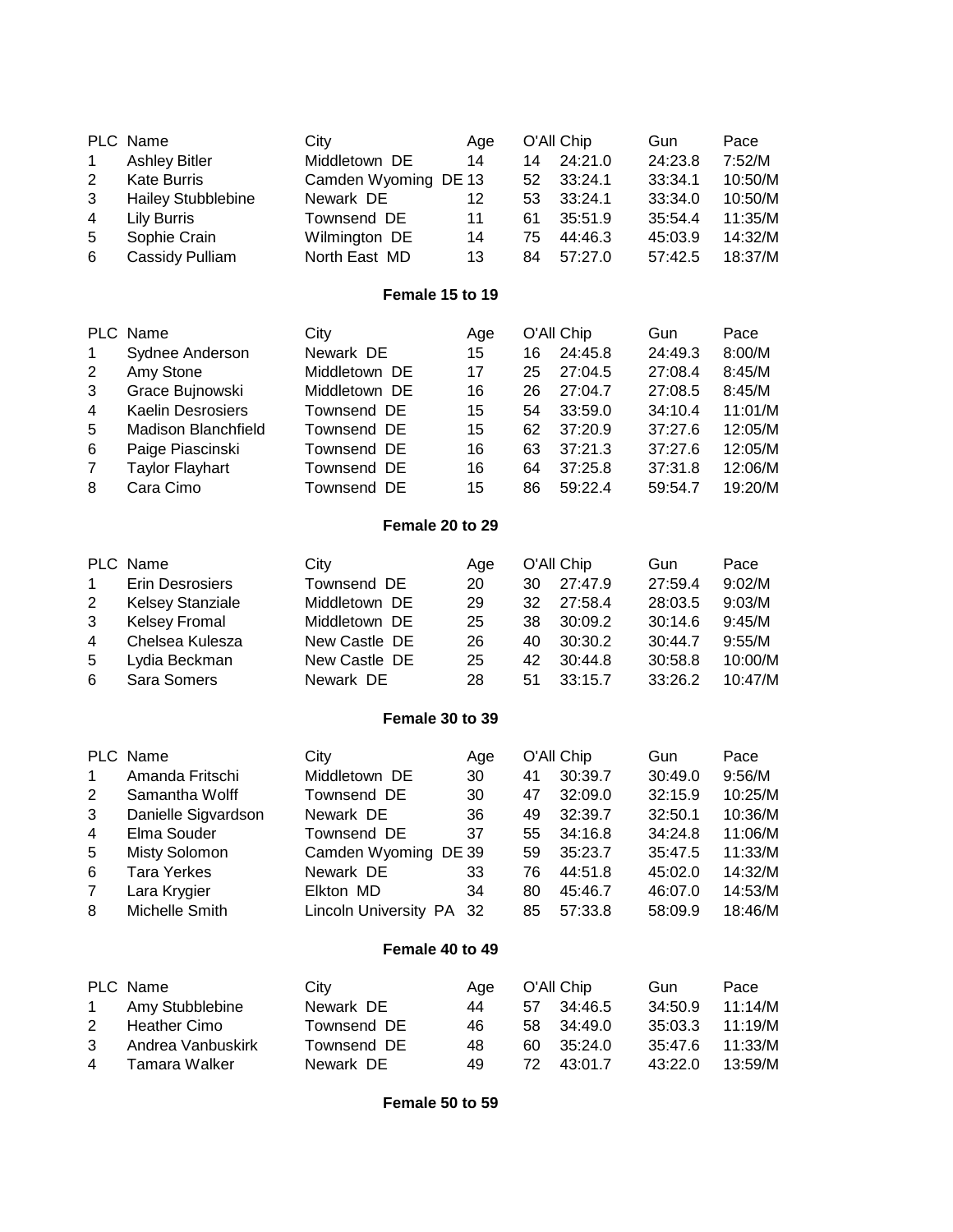| 1<br>2<br>3<br>4<br>5<br>6                                              | PLC Name<br><b>Ashley Bitler</b><br><b>Kate Burris</b><br><b>Hailey Stubblebine</b><br><b>Lily Burris</b><br>Sophie Crain<br>Cassidy Pulliam                                     | City<br>Middletown DE<br>Camden Wyoming DE 13<br>Newark DE<br>Townsend DE<br>Wilmington DE<br>North East MD                                    | Age<br>14<br>12<br>11<br>14<br>13                   | 14<br>52<br>53<br>61<br>75<br>84             | O'All Chip<br>24:21.0<br>33:24.1<br>33:24.1<br>35:51.9<br>44:46.3<br>57:27.0                       | Gun<br>24:23.8<br>33:34.1<br>33:34.0<br>35:54.4<br>45:03.9<br>57:42.5                       | Pace<br>7:52/M<br>10:50/M<br>10:50/M<br>11:35/M<br>14:32/M<br>18:37/M                       |
|-------------------------------------------------------------------------|----------------------------------------------------------------------------------------------------------------------------------------------------------------------------------|------------------------------------------------------------------------------------------------------------------------------------------------|-----------------------------------------------------|----------------------------------------------|----------------------------------------------------------------------------------------------------|---------------------------------------------------------------------------------------------|---------------------------------------------------------------------------------------------|
|                                                                         |                                                                                                                                                                                  | Female 15 to 19                                                                                                                                |                                                     |                                              |                                                                                                    |                                                                                             |                                                                                             |
| 1<br>$\overline{2}$<br>3<br>4<br>5<br>6<br>7<br>8                       | PLC Name<br>Sydnee Anderson<br>Amy Stone<br>Grace Bujnowski<br><b>Kaelin Desrosiers</b><br><b>Madison Blanchfield</b><br>Paige Piascinski<br><b>Taylor Flayhart</b><br>Cara Cimo | City<br>Newark DE<br>Middletown DE<br>Middletown DE<br>Townsend DE<br>Townsend DE<br>Townsend DE<br>Townsend DE<br>Townsend DE                 | Age<br>15<br>17<br>16<br>15<br>15<br>16<br>16<br>15 | 16<br>25<br>26<br>54<br>62<br>63<br>64<br>86 | O'All Chip<br>24:45.8<br>27:04.5<br>27:04.7<br>33:59.0<br>37:20.9<br>37:21.3<br>37:25.8<br>59:22.4 | Gun<br>24:49.3<br>27:08.4<br>27:08.5<br>34:10.4<br>37:27.6<br>37:27.6<br>37:31.8<br>59:54.7 | Pace<br>8:00/M<br>8:45/M<br>8:45/M<br>11:01/M<br>12:05/M<br>12:05/M<br>12:06/M<br>19:20/M   |
|                                                                         |                                                                                                                                                                                  | Female 20 to 29                                                                                                                                |                                                     |                                              |                                                                                                    |                                                                                             |                                                                                             |
| $\mathbf 1$<br>$\overline{2}$<br>3<br>$\overline{\mathbf{4}}$<br>5<br>6 | PLC Name<br><b>Erin Desrosiers</b><br><b>Kelsey Stanziale</b><br><b>Kelsey Fromal</b><br>Chelsea Kulesza<br>Lydia Beckman<br>Sara Somers                                         | City<br>Townsend DE<br>Middletown DE<br>Middletown DE<br>New Castle DE<br>New Castle DE<br>Newark DE                                           | Age<br>20<br>29<br>25<br>26<br>25<br>28             | 30<br>32<br>38<br>40<br>42<br>51             | O'All Chip<br>27:47.9<br>27:58.4<br>30:09.2<br>30:30.2<br>30:44.8<br>33:15.7                       | Gun<br>27:59.4<br>28:03.5<br>30:14.6<br>30:44.7<br>30:58.8<br>33:26.2                       | Pace<br>9:02/M<br>9:03/M<br>9:45/M<br>9:55/M<br>10:00/M<br>10:47/M                          |
|                                                                         |                                                                                                                                                                                  | Female 30 to 39                                                                                                                                |                                                     |                                              |                                                                                                    |                                                                                             |                                                                                             |
| 1<br>2<br>3<br>4<br>5<br>6<br>7<br>8                                    | PLC Name<br>Amanda Fritschi<br>Samantha Wolff<br>Danielle Sigvardson<br>Elma Souder<br><b>Misty Solomon</b><br><b>Tara Yerkes</b><br>Lara Krygier<br>Michelle Smith              | City<br>Middletown DE<br>Townsend DE<br>Newark DE<br>Townsend DE<br>Camden Wyoming DE 39<br>Newark DE<br>Elkton MD<br>Lincoln University PA 32 | Age<br>30<br>30<br>36<br>37<br>33<br>34             | 41<br>47<br>49<br>55<br>59<br>76<br>80<br>85 | O'All Chip<br>30:39.7<br>32:09.0<br>32:39.7<br>34:16.8<br>35:23.7<br>44:51.8<br>45:46.7<br>57:33.8 | Gun<br>30:49.0<br>32:15.9<br>32:50.1<br>34:24.8<br>35:47.5<br>45:02.0<br>46:07.0<br>58:09.9 | Pace<br>9:56/M<br>10:25/M<br>10:36/M<br>11:06/M<br>11:33/M<br>14:32/M<br>14:53/M<br>18:46/M |
|                                                                         |                                                                                                                                                                                  | Female 40 to 49                                                                                                                                |                                                     |                                              |                                                                                                    |                                                                                             |                                                                                             |
| 1<br>$\overline{2}$<br>3<br>4                                           | PLC Name<br>Amy Stubblebine<br><b>Heather Cimo</b><br>Andrea Vanbuskirk<br><b>Tamara Walker</b>                                                                                  | City<br>Newark DE<br>Townsend DE<br>Townsend DE<br>Newark DE                                                                                   | Age<br>44<br>46<br>48<br>49                         | 57<br>58<br>60<br>72                         | O'All Chip<br>34:46.5<br>34:49.0<br>35:24.0<br>43:01.7                                             | Gun<br>34:50.9<br>35:03.3<br>35:47.6<br>43:22.0                                             | Pace<br>11:14/M<br>11:19/M<br>11:33/M<br>13:59/M                                            |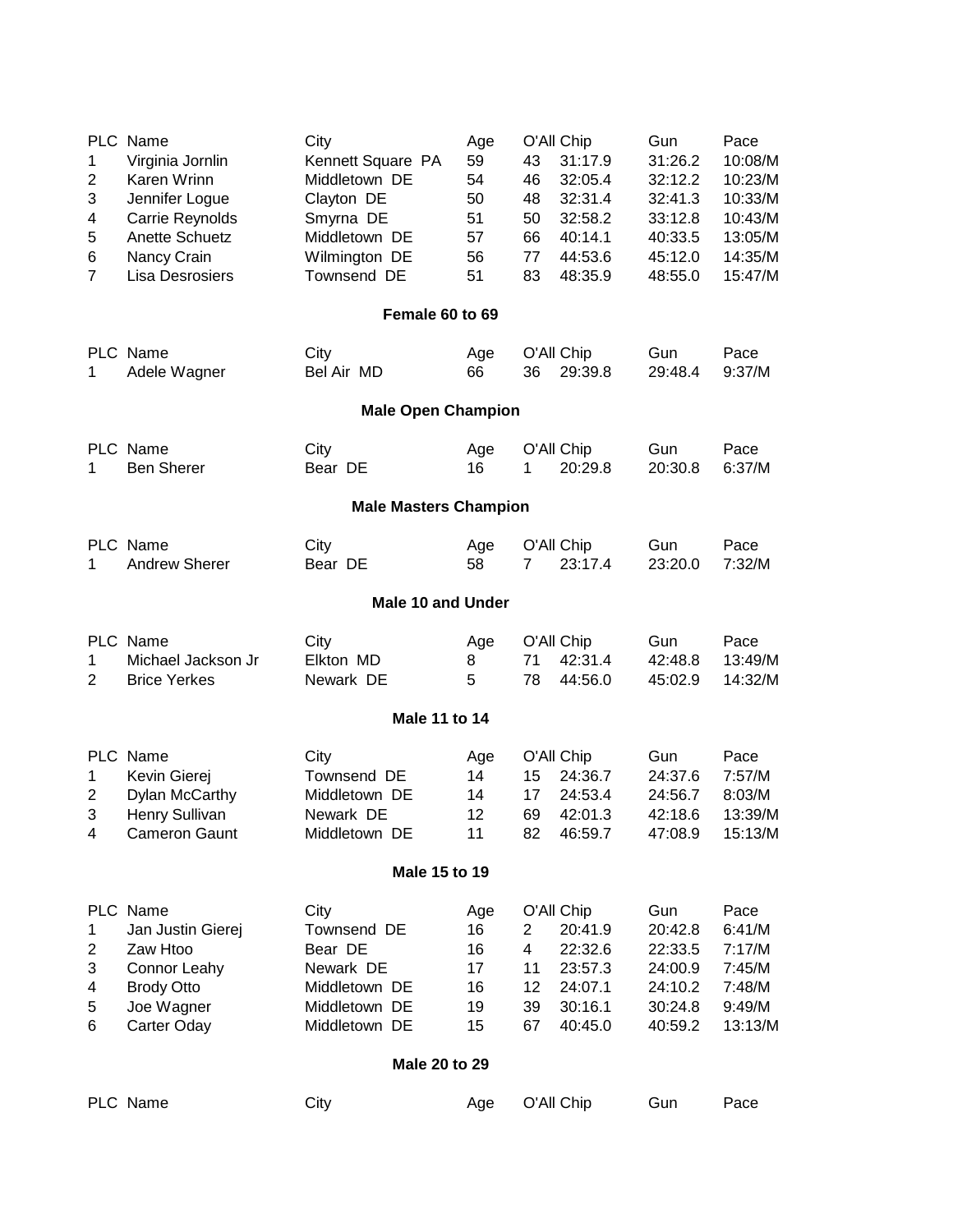| 1<br>2<br>3<br>4<br>5<br>6<br>$\overline{7}$ | PLC Name<br>Virginia Jornlin<br>Karen Wrinn<br>Jennifer Logue<br>Carrie Reynolds<br><b>Anette Schuetz</b><br>Nancy Crain<br>Lisa Desrosiers | City<br>Kennett Square PA<br>Middletown DE<br>Clayton DE<br>Smyrna DE<br>Middletown DE<br>Wilmington DE<br>Townsend DE | Age<br>59<br>54<br>50<br>51<br>57<br>56<br>51 | O'All Chip<br>43<br>31:17.9<br>32:05.4<br>46<br>48<br>32:31.4<br>50<br>32:58.2<br>66<br>40:14.1<br>77<br>44:53.6<br>83<br>48:35.9        | Gun<br>31:26.2<br>32:12.2<br>32:41.3<br>33:12.8<br>40:33.5<br>45:12.0<br>48:55.0 | Pace<br>10:08/M<br>10:23/M<br>10:33/M<br>10:43/M<br>13:05/M<br>14:35/M<br>15:47/M |  |  |
|----------------------------------------------|---------------------------------------------------------------------------------------------------------------------------------------------|------------------------------------------------------------------------------------------------------------------------|-----------------------------------------------|------------------------------------------------------------------------------------------------------------------------------------------|----------------------------------------------------------------------------------|-----------------------------------------------------------------------------------|--|--|
|                                              |                                                                                                                                             | Female 60 to 69                                                                                                        |                                               |                                                                                                                                          |                                                                                  |                                                                                   |  |  |
| 1                                            | PLC Name<br>Adele Wagner                                                                                                                    | City<br>Bel Air MD                                                                                                     | Age<br>66                                     | O'All Chip<br>29:39.8<br>36                                                                                                              | Gun<br>29:48.4                                                                   | Pace<br>9:37/M                                                                    |  |  |
|                                              |                                                                                                                                             | <b>Male Open Champion</b>                                                                                              |                                               |                                                                                                                                          |                                                                                  |                                                                                   |  |  |
| 1                                            | PLC Name<br><b>Ben Sherer</b>                                                                                                               | City<br>Bear DE                                                                                                        | Age<br>16                                     | O'All Chip<br>20:29.8<br>1                                                                                                               | Gun<br>20:30.8                                                                   | Pace<br>6:37/M                                                                    |  |  |
|                                              | <b>Male Masters Champion</b>                                                                                                                |                                                                                                                        |                                               |                                                                                                                                          |                                                                                  |                                                                                   |  |  |
| 1                                            | PLC Name<br><b>Andrew Sherer</b>                                                                                                            | City<br>Bear DE                                                                                                        | Age<br>58                                     | O'All Chip<br>23:17.4<br>7                                                                                                               | Gun<br>23:20.0                                                                   | Pace<br>7:32/M                                                                    |  |  |
|                                              |                                                                                                                                             | <b>Male 10 and Under</b>                                                                                               |                                               |                                                                                                                                          |                                                                                  |                                                                                   |  |  |
| 1<br>$\overline{2}$                          | PLC Name<br>Michael Jackson Jr<br><b>Brice Yerkes</b>                                                                                       | City<br>Elkton MD<br>Newark DE                                                                                         | Age<br>8<br>5                                 | O'All Chip<br>42:31.4<br>71<br>78<br>44:56.0                                                                                             | Gun<br>42:48.8<br>45:02.9                                                        | Pace<br>13:49/M<br>14:32/M                                                        |  |  |
|                                              |                                                                                                                                             | Male 11 to 14                                                                                                          |                                               |                                                                                                                                          |                                                                                  |                                                                                   |  |  |
| 1<br>2<br>3<br>4                             | PLC Name<br>Kevin Gierej<br>Dylan McCarthy<br>Henry Sullivan<br><b>Cameron Gaunt</b>                                                        | City<br>Townsend DE<br>Middletown DE<br>Newark DE<br>Middletown DE                                                     | Age<br>14<br>14<br>12<br>11                   | O'All Chip<br>15<br>24:36.7<br>17<br>24:53.4<br>69<br>42:01.3<br>82<br>46:59.7                                                           | Gun<br>24:37.6<br>24:56.7<br>42:18.6<br>47:08.9                                  | Pace<br>7:57/M<br>8:03/M<br>13:39/M<br>15:13/M                                    |  |  |
|                                              |                                                                                                                                             | Male 15 to 19                                                                                                          |                                               |                                                                                                                                          |                                                                                  |                                                                                   |  |  |
| $\mathbf{1}$<br>2<br>3<br>4<br>5<br>6        | PLC Name<br>Jan Justin Gierej<br>Zaw Htoo<br><b>Connor Leahy</b><br><b>Brody Otto</b><br>Joe Wagner<br>Carter Oday                          | City<br>Townsend DE<br>Bear DE<br>Newark DE<br>Middletown DE<br>Middletown DE<br>Middletown DE<br>Male 20 to 29        | Age<br>16<br>16<br>17<br>16<br>19<br>15       | O'All Chip<br>$\overline{2}$<br>20:41.9<br>$\overline{4}$<br>22:32.6<br>11<br>23:57.3<br>12<br>24:07.1<br>39<br>30:16.1<br>67<br>40:45.0 | Gun<br>20:42.8<br>22:33.5<br>24:00.9<br>24:10.2<br>30:24.8<br>40:59.2            | Pace<br>6:41/M<br>7:17/M<br>7:45/M<br>7:48/M<br>9:49/M<br>13:13/M                 |  |  |
|                                              | PLC Name                                                                                                                                    | City                                                                                                                   | Age                                           | O'All Chip                                                                                                                               | Gun                                                                              | Pace                                                                              |  |  |
|                                              |                                                                                                                                             |                                                                                                                        |                                               |                                                                                                                                          |                                                                                  |                                                                                   |  |  |